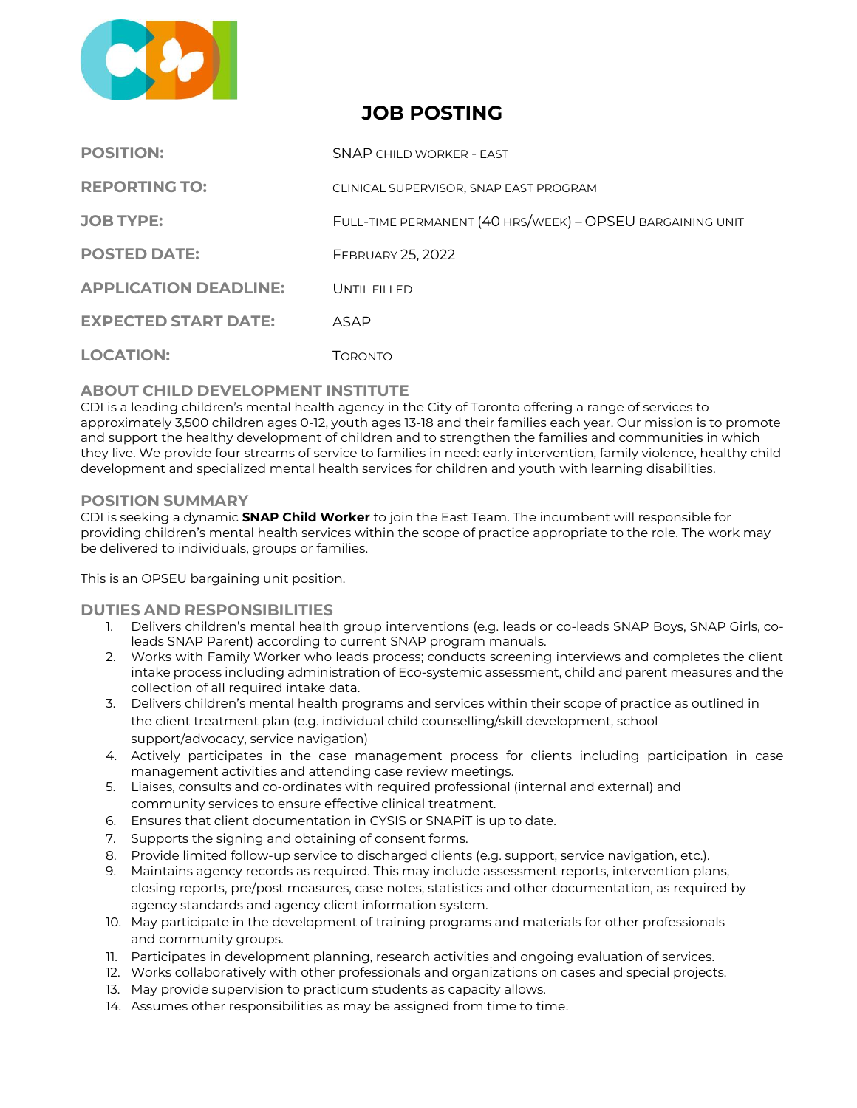

# **JOB POSTING**

| <b>POSITION:</b>             | <b>SNAP CHILD WORKER - EAST</b>                           |
|------------------------------|-----------------------------------------------------------|
| <b>REPORTING TO:</b>         | CLINICAL SUPERVISOR, SNAP EAST PROGRAM                    |
| <b>JOB TYPE:</b>             | FULL-TIME PERMANENT (40 HRS/WEEK) - OPSEU BARGAINING UNIT |
| <b>POSTED DATE:</b>          | <b>FEBRUARY 25, 2022</b>                                  |
| <b>APPLICATION DEADLINE:</b> | UNTIL FILLED                                              |
| <b>EXPECTED START DATE:</b>  | ASAP                                                      |
| <b>LOCATION:</b>             | TORONTO                                                   |

# **ABOUT CHILD DEVELOPMENT INSTITUTE**

CDI is a leading children's mental health agency in the City of Toronto offering a range of services to approximately 3,500 children ages 0‐12, youth ages 13-18 and their families each year. Our mission is to promote and support the healthy development of children and to strengthen the families and communities in which they live. We provide four streams of service to families in need: early intervention, family violence, healthy child development and specialized mental health services for children and youth with learning disabilities.

# **POSITION SUMMARY**

CDI is seeking a dynamic **SNAP Child Worker** to join the East Team. The incumbent will responsible for providing children's mental health services within the scope of practice appropriate to the role. The work may be delivered to individuals, groups or families.

This is an OPSEU bargaining unit position.

### **DUTIES AND RESPONSIBILITIES**

- 1. Delivers children's mental health group interventions (e.g. leads or co-leads SNAP Boys, SNAP Girls, coleads SNAP Parent) according to current SNAP program manuals.
- 2. Works with Family Worker who leads process; conducts screening interviews and completes the client intake process including administration of Eco-systemic assessment, child and parent measures and the collection of all required intake data.
- 3. Delivers children's mental health programs and services within their scope of practice as outlined in the client treatment plan (e.g. individual child counselling/skill development, school support/advocacy, service navigation)
- 4. Actively participates in the case management process for clients including participation in case management activities and attending case review meetings.
- 5. Liaises, consults and co-ordinates with required professional (internal and external) and community services to ensure effective clinical treatment.
- 6. Ensures that client documentation in CYSIS or SNAPiT is up to date.
- 7. Supports the signing and obtaining of consent forms.
- 8. Provide limited follow-up service to discharged clients (e.g. support, service navigation, etc.).
- 9. Maintains agency records as required. This may include assessment reports, intervention plans, closing reports, pre/post measures, case notes, statistics and other documentation, as required by agency standards and agency client information system.
- 10. May participate in the development of training programs and materials for other professionals and community groups.
- 11. Participates in development planning, research activities and ongoing evaluation of services.
- 12. Works collaboratively with other professionals and organizations on cases and special projects.
- 13. May provide supervision to practicum students as capacity allows.
- 14. Assumes other responsibilities as may be assigned from time to time.